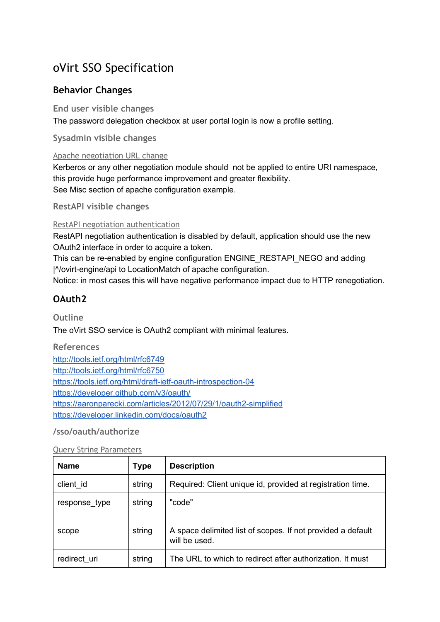# oVirt SSO Specification

## **Behavior Changes**

## **End user visible changes**

The password delegation checkbox at user portal login is now a profile setting.

**Sysadmin visible changes**

#### Apache negotiation URL change

Kerberos or any other negotiation module should not be applied to entire URI namespace, this provide huge performance improvement and greater flexibility. See Misc section of apache configuration example.

**RestAPI visible changes**

## RestAPI negotiation authentication

RestAPI negotiation authentication is disabled by default, application should use the new OAuth2 interface in order to acquire a token.

This can be re-enabled by engine configuration ENGINE\_RESTAPI\_NEGO and adding |^/ovirtengine/api to LocationMatch of apache configuration.

Notice: in most cases this will have negative performance impact due to HTTP renegotiation.

## **OAuth2**

**Outline**

The oVirt SSO service is OAuth2 compliant with minimal features.

## **References**

<http://tools.ietf.org/html/rfc6749> <http://tools.ietf.org/html/rfc6750> https://tools.ietf.org/html/draft-ietf-oauth-introspection-04 <https://developer.github.com/v3/oauth/> https://aaronparecki.com/articles/2012/07/29/1/oauth2-simplified <https://developer.linkedin.com/docs/oauth2>

## **/sso/oauth/authorize**

|  | <b>Query String Parameters</b> |
|--|--------------------------------|
|  |                                |

| <b>Name</b>   | <b>Type</b> | <b>Description</b>                                                           |
|---------------|-------------|------------------------------------------------------------------------------|
| client id     | string      | Required: Client unique id, provided at registration time.                   |
| response type | string      | "code"                                                                       |
| scope         | string      | A space delimited list of scopes. If not provided a default<br>will be used. |
| redirect_uri  | string      | The URL to which to redirect after authorization. It must                    |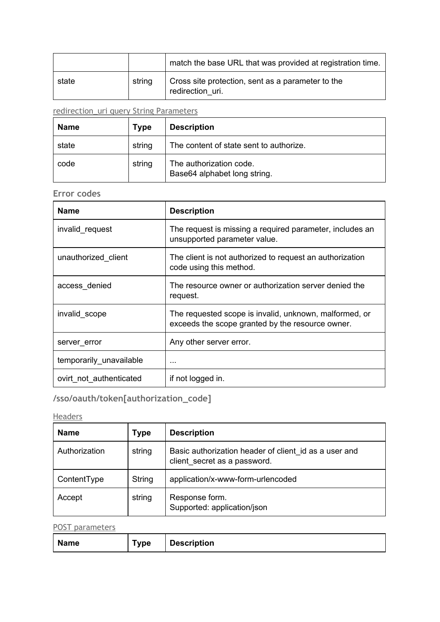|       |        | match the base URL that was provided at registration time.            |
|-------|--------|-----------------------------------------------------------------------|
| state | string | Cross site protection, sent as a parameter to the<br>redirection uri. |

# redirection\_uri query String Parameters

| <b>Name</b> | <b>Type</b> | <b>Description</b>                                      |
|-------------|-------------|---------------------------------------------------------|
| state       | string      | The content of state sent to authorize.                 |
| code        | string      | The authorization code.<br>Base64 alphabet long string. |

## **Error codes**

| <b>Name</b>             | <b>Description</b>                                                                                         |
|-------------------------|------------------------------------------------------------------------------------------------------------|
| invalid_request         | The request is missing a required parameter, includes an<br>unsupported parameter value.                   |
| unauthorized client     | The client is not authorized to request an authorization<br>code using this method.                        |
| access denied           | The resource owner or authorization server denied the<br>request.                                          |
| invalid scope           | The requested scope is invalid, unknown, malformed, or<br>exceeds the scope granted by the resource owner. |
| server_error            | Any other server error.                                                                                    |
| temporarily_unavailable | $\cdots$                                                                                                   |
| ovirt not authenticated | if not logged in.                                                                                          |

# **/sso/oauth/token[authorization\_code]**

## **Headers**

| <b>Name</b>   | <b>Type</b> | <b>Description</b>                                                                    |
|---------------|-------------|---------------------------------------------------------------------------------------|
| Authorization | string      | Basic authorization header of client id as a user and<br>client secret as a password. |
| ContentType   | String      | application/x-www-form-urlencoded                                                     |
| Accept        | string      | Response form.<br>Supported: application/json                                         |

## POST parameters

| <b>Name</b> | ™vpe | <b>Description</b> |
|-------------|------|--------------------|
|-------------|------|--------------------|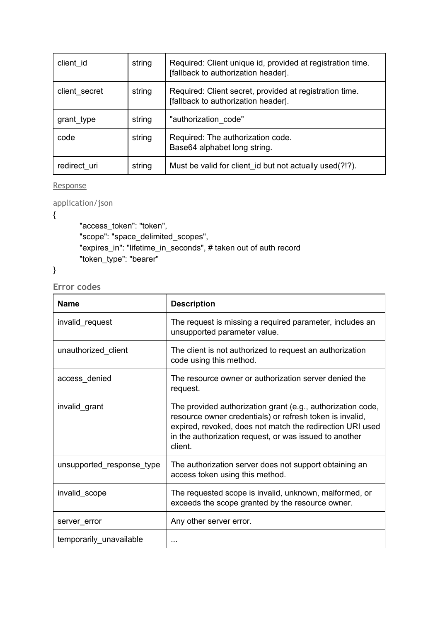| client id     | string | Required: Client unique id, provided at registration time.<br>[fallback to authorization header]. |
|---------------|--------|---------------------------------------------------------------------------------------------------|
| client_secret | string | Required: Client secret, provided at registration time.<br>[fallback to authorization header].    |
| grant_type    | string | "authorization code"                                                                              |
| code          | string | Required: The authorization code.<br>Base64 alphabet long string.                                 |
| redirect uri  | string | Must be valid for client id but not actually used(?!?).                                           |

Response

application/json

{

"access\_token": "token", "scope": "space\_delimited\_scopes", "expires\_in": "lifetime\_in\_seconds", # taken out of auth record "token\_type": "bearer"

## }

**Error codes**

| <b>Name</b>               | <b>Description</b>                                                                                                                                                                                                                                        |
|---------------------------|-----------------------------------------------------------------------------------------------------------------------------------------------------------------------------------------------------------------------------------------------------------|
| invalid_request           | The request is missing a required parameter, includes an<br>unsupported parameter value.                                                                                                                                                                  |
| unauthorized_client       | The client is not authorized to request an authorization<br>code using this method.                                                                                                                                                                       |
| access_denied             | The resource owner or authorization server denied the<br>request.                                                                                                                                                                                         |
| invalid grant             | The provided authorization grant (e.g., authorization code,<br>resource owner credentials) or refresh token is invalid,<br>expired, revoked, does not match the redirection URI used<br>in the authorization request, or was issued to another<br>client. |
| unsupported_response_type | The authorization server does not support obtaining an<br>access token using this method.                                                                                                                                                                 |
| invalid scope             | The requested scope is invalid, unknown, malformed, or<br>exceeds the scope granted by the resource owner.                                                                                                                                                |
| server_error              | Any other server error.                                                                                                                                                                                                                                   |
| temporarily_unavailable   |                                                                                                                                                                                                                                                           |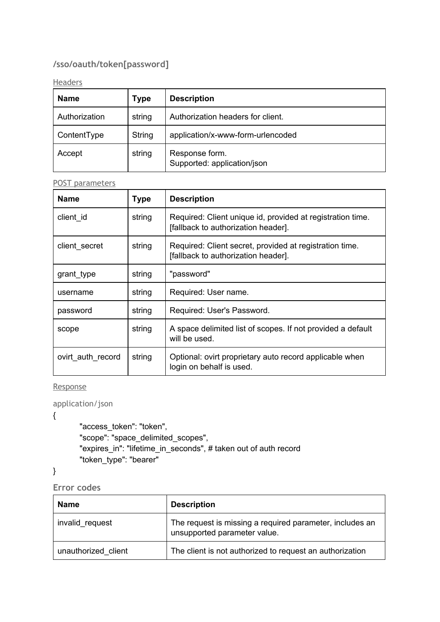# **/sso/oauth/token[password]**

#### **Headers**

| <b>Name</b>   | <b>Type</b> | <b>Description</b>                            |
|---------------|-------------|-----------------------------------------------|
| Authorization | string      | Authorization headers for client.             |
| ContentType   | String      | application/x-www-form-urlencoded             |
| Accept        | string      | Response form.<br>Supported: application/json |

#### POST parameters

| <b>Name</b>       | <b>Type</b> | <b>Description</b>                                                                                |
|-------------------|-------------|---------------------------------------------------------------------------------------------------|
| client id         | string      | Required: Client unique id, provided at registration time.<br>[fallback to authorization header]. |
| client_secret     | string      | Required: Client secret, provided at registration time.<br>[fallback to authorization header].    |
| grant_type        | string      | "password"                                                                                        |
| username          | string      | Required: User name.                                                                              |
| password          | string      | Required: User's Password.                                                                        |
| scope             | string      | A space delimited list of scopes. If not provided a default<br>will be used.                      |
| ovirt auth record | string      | Optional: ovirt proprietary auto record applicable when<br>login on behalf is used.               |

#### **Response**

application/json

{

"access\_token": "token", "scope": "space\_delimited\_scopes", "expires\_in": "lifetime\_in\_seconds", # taken out of auth record "token\_type": "bearer"

}

**Error codes**

| Name                | <b>Description</b>                                                                       |
|---------------------|------------------------------------------------------------------------------------------|
| invalid request     | The request is missing a required parameter, includes an<br>unsupported parameter value. |
| unauthorized client | The client is not authorized to request an authorization                                 |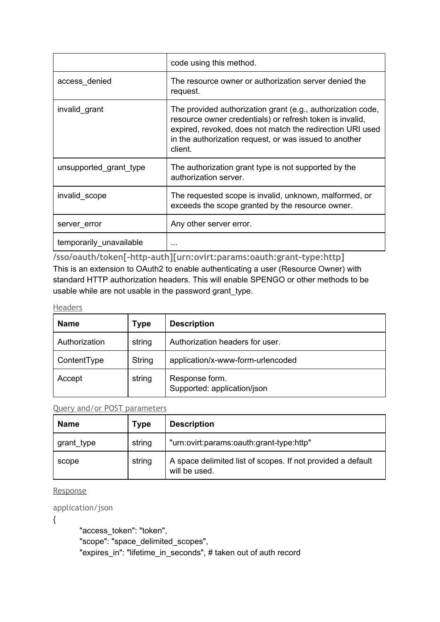|                         | code using this method.                                                                                                                                                                                                                                   |
|-------------------------|-----------------------------------------------------------------------------------------------------------------------------------------------------------------------------------------------------------------------------------------------------------|
| access_denied           | The resource owner or authorization server denied the<br>request.                                                                                                                                                                                         |
| invalid grant           | The provided authorization grant (e.g., authorization code,<br>resource owner credentials) or refresh token is invalid,<br>expired, revoked, does not match the redirection URI used<br>in the authorization request, or was issued to another<br>client. |
| unsupported grant type  | The authorization grant type is not supported by the<br>authorization server.                                                                                                                                                                             |
| invalid scope           | The requested scope is invalid, unknown, malformed, or<br>exceeds the scope granted by the resource owner.                                                                                                                                                |
| server error            | Any other server error.                                                                                                                                                                                                                                   |
| temporarily_unavailable | .                                                                                                                                                                                                                                                         |

**/sso/oauth/token[-http-auth][urn:ovirt:params:oauth:grant-type:http]** This is an extension to OAuth2 to enable authenticating a user (Resource Owner) with standard HTTP authorization headers. This will enable SPENGO or other methods to be usable while are not usable in the password grant\_type.

#### Headers

| <b>Name</b>   | <b>Type</b> | <b>Description</b>                            |
|---------------|-------------|-----------------------------------------------|
| Authorization | string      | Authorization headers for user.               |
| ContentType   | String      | application/x-www-form-urlencoded             |
| Accept        | string      | Response form.<br>Supported: application/json |

#### Query and/or POST parameters

| <b>Name</b> | <b>Type</b> | <b>Description</b>                                                           |
|-------------|-------------|------------------------------------------------------------------------------|
| grant_type  | string      | "urn:ovirt:params:oauth:grant-type:http"                                     |
| scope       | string      | A space delimited list of scopes. If not provided a default<br>will be used. |

Response

application/json

{

"access\_token": "token", "scope": "space\_delimited\_scopes", "expires\_in": "lifetime\_in\_seconds", # taken out of auth record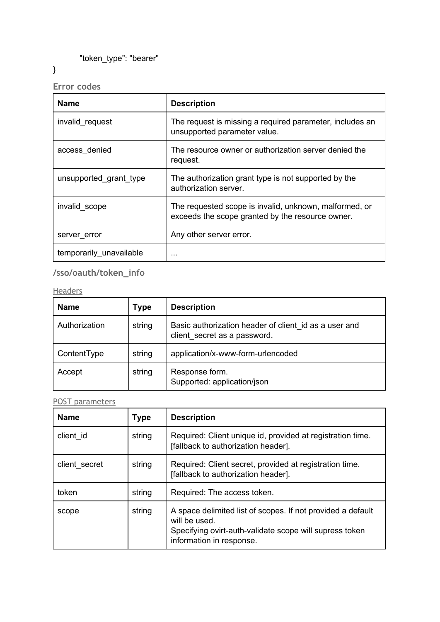"token\_type": "bearer"

}

**Error codes**

| <b>Name</b>             | <b>Description</b>                                                                                         |
|-------------------------|------------------------------------------------------------------------------------------------------------|
| invalid request         | The request is missing a required parameter, includes an<br>unsupported parameter value.                   |
| access denied           | The resource owner or authorization server denied the<br>request.                                          |
| unsupported grant type  | The authorization grant type is not supported by the<br>authorization server.                              |
| invalid_scope           | The requested scope is invalid, unknown, malformed, or<br>exceeds the scope granted by the resource owner. |
| server error            | Any other server error.                                                                                    |
| temporarily_unavailable | .                                                                                                          |

# **/sso/oauth/token\_info**

## **Headers**

| <b>Name</b>   | <b>Type</b> | <b>Description</b>                                                                    |
|---------------|-------------|---------------------------------------------------------------------------------------|
| Authorization | string      | Basic authorization header of client id as a user and<br>client secret as a password. |
| ContentType   | string      | application/x-www-form-urlencoded                                                     |
| Accept        | string      | Response form.<br>Supported: application/json                                         |

## POST parameters

| <b>Name</b>   | <b>Type</b> | <b>Description</b>                                                                                                                                                  |
|---------------|-------------|---------------------------------------------------------------------------------------------------------------------------------------------------------------------|
| client id     | string      | Required: Client unique id, provided at registration time.<br>[fallback to authorization header].                                                                   |
| client secret | string      | Required: Client secret, provided at registration time.<br>[fallback to authorization header].                                                                      |
| token         | string      | Required: The access token.                                                                                                                                         |
| scope         | string      | A space delimited list of scopes. If not provided a default<br>will be used.<br>Specifying ovirt-auth-validate scope will supress token<br>information in response. |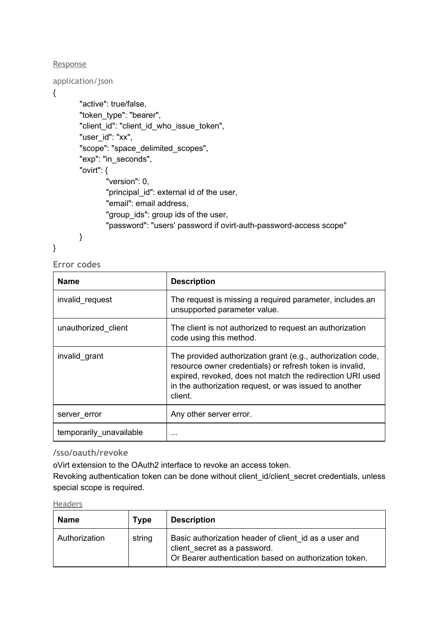Response

{

```
application/json
       "active": true/false,
       "token_type": "bearer",
       "client_id": "client_id_who_issue_token",
       "user_id": "xx",
       "scope": "space_delimited_scopes",
       "exp": "in_seconds",
       "ovirt": {
               "version": 0,
               "principal id": external id of the user,
               "email": email address,
               "group ids": group ids of the user,
               "password": "users' password if ovirt-auth-password-access scope"
       }
```
}

**Error codes**

| <b>Name</b>             | <b>Description</b>                                                                                                                                                                                                                                        |
|-------------------------|-----------------------------------------------------------------------------------------------------------------------------------------------------------------------------------------------------------------------------------------------------------|
| invalid request         | The request is missing a required parameter, includes an<br>unsupported parameter value.                                                                                                                                                                  |
| unauthorized client     | The client is not authorized to request an authorization<br>code using this method.                                                                                                                                                                       |
| invalid grant           | The provided authorization grant (e.g., authorization code,<br>resource owner credentials) or refresh token is invalid,<br>expired, revoked, does not match the redirection URI used<br>in the authorization request, or was issued to another<br>client. |
| server error            | Any other server error.                                                                                                                                                                                                                                   |
| temporarily unavailable | $\cdots$                                                                                                                                                                                                                                                  |

## **/sso/oauth/revoke**

oVirt extension to the OAuth2 interface to revoke an access token.

Revoking authentication token can be done without client id/client secret credentials, unless special scope is required.

#### Headers

| Name          | <b>Type</b> | <b>Description</b>                                                                                                                              |
|---------------|-------------|-------------------------------------------------------------------------------------------------------------------------------------------------|
| Authorization | string      | Basic authorization header of client id as a user and<br>client secret as a password.<br>Or Bearer authentication based on authorization token. |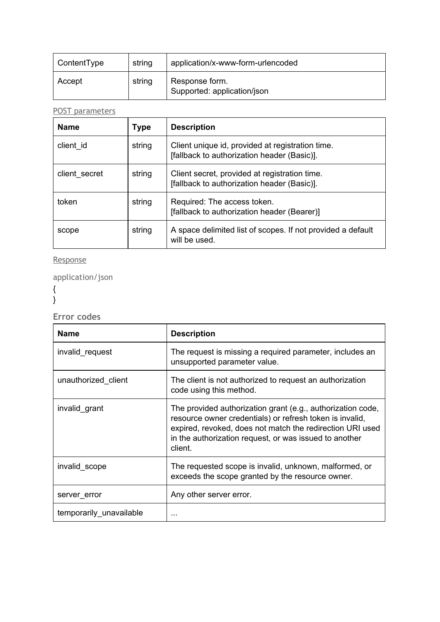| ContentType | string | application/x-www-form-urlencoded             |
|-------------|--------|-----------------------------------------------|
| Accept      | string | Response form.<br>Supported: application/json |

POST parameters

| <b>Name</b>   | <b>Type</b> | <b>Description</b>                                                                              |
|---------------|-------------|-------------------------------------------------------------------------------------------------|
| client id     | string      | Client unique id, provided at registration time.<br>[fallback to authorization header (Basic)]. |
| client secret | string      | Client secret, provided at registration time.<br>[fallback to authorization header (Basic)].    |
| token         | string      | Required: The access token.<br>[fallback to authorization header (Bearer)]                      |
| scope         | string      | A space delimited list of scopes. If not provided a default<br>will be used.                    |

### Response

application/json

{

}

**Error codes**

| <b>Name</b>             | <b>Description</b>                                                                                                                                                                                                                                        |
|-------------------------|-----------------------------------------------------------------------------------------------------------------------------------------------------------------------------------------------------------------------------------------------------------|
| invalid request         | The request is missing a required parameter, includes an<br>unsupported parameter value.                                                                                                                                                                  |
| unauthorized client     | The client is not authorized to request an authorization<br>code using this method.                                                                                                                                                                       |
| invalid grant           | The provided authorization grant (e.g., authorization code,<br>resource owner credentials) or refresh token is invalid,<br>expired, revoked, does not match the redirection URI used<br>in the authorization request, or was issued to another<br>client. |
| invalid_scope           | The requested scope is invalid, unknown, malformed, or<br>exceeds the scope granted by the resource owner.                                                                                                                                                |
| server_error            | Any other server error.                                                                                                                                                                                                                                   |
| temporarily_unavailable |                                                                                                                                                                                                                                                           |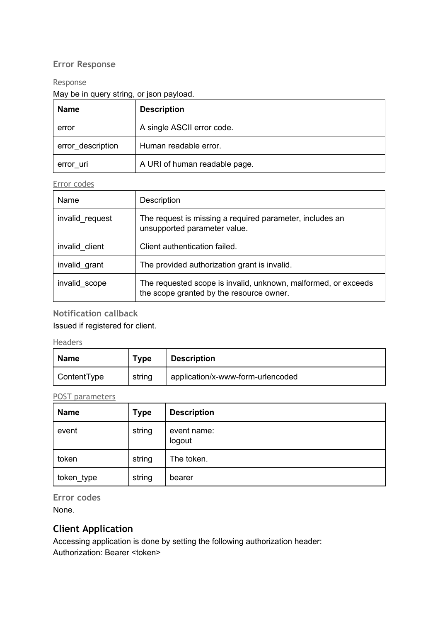## **Error Response**

#### **Response**

## May be in query string, or json payload.

| <b>Name</b>       | <b>Description</b>            |  |
|-------------------|-------------------------------|--|
| error             | A single ASCII error code.    |  |
| error description | Human readable error.         |  |
| error_uri         | A URI of human readable page. |  |

### Error codes

| Name            | Description                                                                                                |
|-----------------|------------------------------------------------------------------------------------------------------------|
| invalid request | The request is missing a required parameter, includes an<br>unsupported parameter value.                   |
| invalid client  | Client authentication failed.                                                                              |
| invalid grant   | The provided authorization grant is invalid.                                                               |
| invalid scope   | The requested scope is invalid, unknown, malformed, or exceeds<br>the scope granted by the resource owner. |

## **Notification callback**

Issued if registered for client.

**Headers** 

| <b>Name</b> | <b>Type</b> | <b>Description</b>                |
|-------------|-------------|-----------------------------------|
| ContentType | string      | application/x-www-form-urlencoded |

POST parameters

| <b>Name</b> | <b>Type</b> | <b>Description</b>    |
|-------------|-------------|-----------------------|
| event       | string      | event name:<br>logout |
| token       | string      | The token.            |
| token_type  | string      | bearer                |

**Error codes** None.

## **Client Application**

Accessing application is done by setting the following authorization header: Authorization: Bearer <token>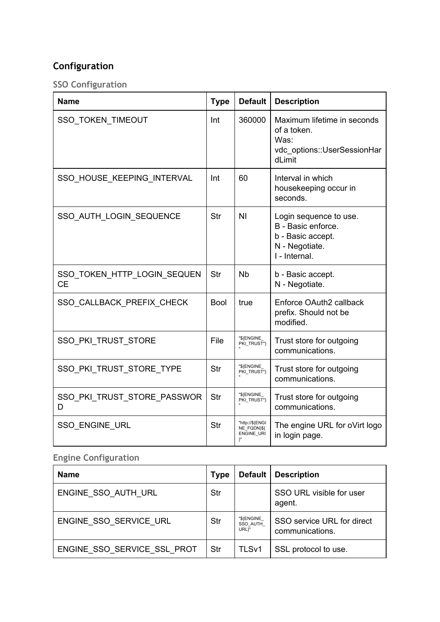# **Configuration**

**SSO Configuration**

| <b>Name</b>                              | <b>Type</b> | <b>Default</b>                                     | <b>Description</b>                                                                                   |
|------------------------------------------|-------------|----------------------------------------------------|------------------------------------------------------------------------------------------------------|
| SSO_TOKEN_TIMEOUT                        | Int         | 360000                                             | Maximum lifetime in seconds<br>of a token.<br>Was:<br>vdc options::UserSessionHar<br>dLimit          |
| SSO HOUSE KEEPING INTERVAL               | Int         | 60                                                 | Interval in which<br>housekeeping occur in<br>seconds.                                               |
| SSO AUTH LOGIN SEQUENCE                  | Str         | ΝI                                                 | Login sequence to use.<br>B - Basic enforce.<br>b - Basic accept.<br>N - Negotiate.<br>I - Internal. |
| SSO TOKEN HTTP LOGIN SEQUEN<br><b>CE</b> | Str         | <b>N<sub>b</sub></b>                               | b - Basic accept.<br>N - Negotiate.                                                                  |
| SSO CALLBACK PREFIX CHECK                | <b>Bool</b> | true                                               | Enforce OAuth2 callback<br>prefix. Should not be<br>modified.                                        |
| <b>SSO PKI TRUST STORE</b>               | File        | "\${ENGINE_<br>PKI_TRUST*}                         | Trust store for outgoing<br>communications.                                                          |
| SSO PKI TRUST STORE TYPE                 | Str         | "\${ENGINE_<br>PKI_TRUST*}                         | Trust store for outgoing<br>communications.                                                          |
| SSO PKI TRUST STORE PASSWOR<br>D         | Str         | "\${ENGINE_<br>PKI TRUST*}                         | Trust store for outgoing<br>communications.                                                          |
| <b>SSO ENGINE URL</b>                    | Str         | "http://\${ENGI<br>NE FQDN)\${<br>ENGINE URI<br>γ" | The engine URL for oVirt logo<br>in login page.                                                      |

# **Engine Configuration**

| <b>Name</b>                 | <b>Type</b> |                                 | Default   Description                         |
|-----------------------------|-------------|---------------------------------|-----------------------------------------------|
| ENGINE SSO AUTH URL         | Str         |                                 | SSO URL visible for user<br>agent.            |
| ENGINE SSO SERVICE URL      | Str         | "\${ENGINE<br>SSO AUTH<br>URL}" | SSO service URL for direct<br>communications. |
| ENGINE SSO SERVICE SSL PROT | Str         | TLS <sub>v1</sub>               | SSL protocol to use.                          |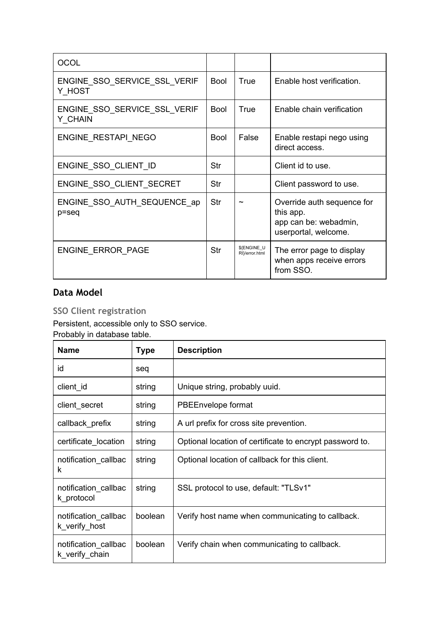| <b>OCOL</b>                             |             |                               |                                                                                          |
|-----------------------------------------|-------------|-------------------------------|------------------------------------------------------------------------------------------|
| ENGINE_SSO_SERVICE_SSL_VERIF<br>Y HOST  | <b>Bool</b> | True                          | Enable host verification.                                                                |
| ENGINE_SSO_SERVICE_SSL_VERIF<br>Y CHAIN | <b>Bool</b> | True                          | Enable chain verification                                                                |
| ENGINE RESTAPI NEGO                     | <b>Bool</b> | False                         | Enable restapi nego using<br>direct access.                                              |
| ENGINE_SSO_CLIENT_ID                    | Str         |                               | Client id to use.                                                                        |
| ENGINE SSO CLIENT SECRET                | Str         |                               | Client password to use.                                                                  |
| ENGINE SSO AUTH SEQUENCE ap<br>p=seq    | Str         |                               | Override auth sequence for<br>this app.<br>app can be: webadmin,<br>userportal, welcome. |
| ENGINE ERROR PAGE                       | Str         | \${ENGINE U<br>RI}/error.html | The error page to display<br>when apps receive errors<br>from SSO.                       |

## **Data Model**

**SSO Client registration**

Persistent, accessible only to SSO service.

Probably in database table.

| Name                                   | <b>Type</b> | <b>Description</b>                                       |
|----------------------------------------|-------------|----------------------------------------------------------|
| id                                     | seq         |                                                          |
| client id                              | string      | Unique string, probably uuid.                            |
| client_secret                          | string      | PBEEnvelope format                                       |
| callback_prefix                        | string      | A url prefix for cross site prevention.                  |
| certificate location                   | string      | Optional location of certificate to encrypt password to. |
| notification_callbac<br>k              | string      | Optional location of callback for this client.           |
| notification_callbac<br>k protocol     | string      | SSL protocol to use, default: "TLSv1"                    |
| notification_callbac<br>k_verify_host  | boolean     | Verify host name when communicating to callback.         |
| notification_callbac<br>k verify chain | boolean     | Verify chain when communicating to callback.             |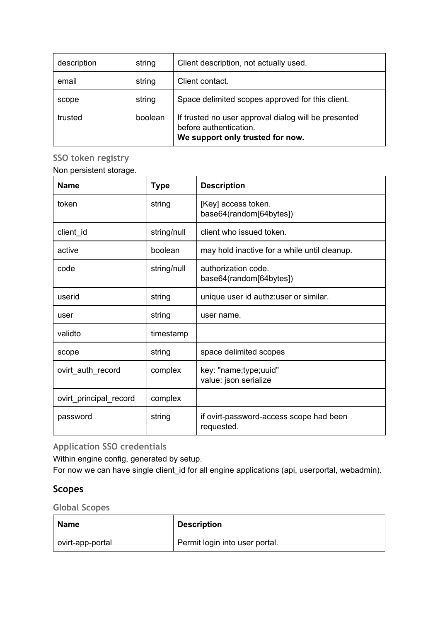| description | string  | Client description, not actually used.                                                                             |
|-------------|---------|--------------------------------------------------------------------------------------------------------------------|
| email       | string  | Client contact.                                                                                                    |
| scope       | string  | Space delimited scopes approved for this client.                                                                   |
| trusted     | boolean | If trusted no user approval dialog will be presented<br>before authentication.<br>We support only trusted for now. |

**SSO token registry**

Non persistent storage.

| <b>Name</b>            | <b>Type</b> | <b>Description</b>                                    |
|------------------------|-------------|-------------------------------------------------------|
| token                  | string      | [Key] access token.<br>base64(random[64bytes])        |
| client_id              | string/null | client who issued token.                              |
| active                 | boolean     | may hold inactive for a while until cleanup.          |
| code                   | string/null | authorization code.<br>base64(random[64bytes])        |
| userid                 | string      | unique user id authz: user or similar.                |
| user                   | string      | user name.                                            |
| validto                | timestamp   |                                                       |
| scope                  | string      | space delimited scopes                                |
| ovirt_auth_record      | complex     | key: "name;type;uuid"<br>value: json serialize        |
| ovirt_principal_record | complex     |                                                       |
| password               | string      | if ovirt-password-access scope had been<br>requested. |

**Application SSO credentials**

Within engine config, generated by setup.

For now we can have single client\_id for all engine applications (api, userportal, webadmin).

## **Scopes**

**Global Scopes**

| Name             | <b>Description</b>             |
|------------------|--------------------------------|
| ovirt-app-portal | Permit login into user portal. |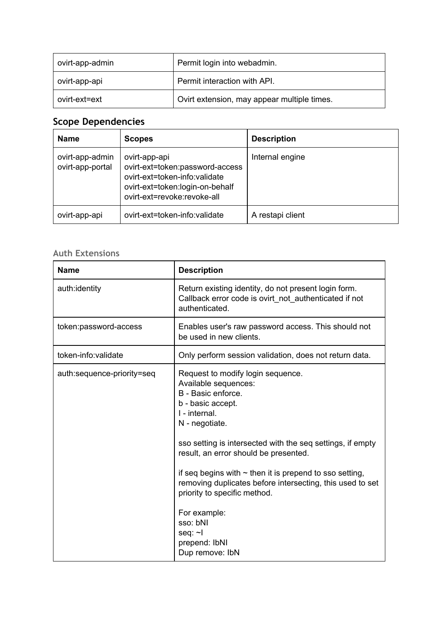| ovirt-app-admin | Permit login into webadmin.                 |
|-----------------|---------------------------------------------|
| ovirt-app-api   | Permit interaction with API.                |
| ovirt-ext=ext   | Ovirt extension, may appear multiple times. |

# **Scope Dependencies**

| <b>Name</b>                         | <b>Scopes</b>                                                                                                                                       | <b>Description</b> |
|-------------------------------------|-----------------------------------------------------------------------------------------------------------------------------------------------------|--------------------|
| ovirt-app-admin<br>ovirt-app-portal | ovirt-app-api<br>ovirt-ext=token:password-access<br>ovirt-ext=token-info:validate<br>ovirt-ext=token:login-on-behalf<br>ovirt-ext=revoke:revoke-all | Internal engine    |
| ovirt-app-api                       | ovirt-ext=token-info:validate                                                                                                                       | A restapi client   |

# **Auth Extensions**

| <b>Name</b>                | <b>Description</b>                                                                                                                                                                                                                                                                                                                                                                                                                                                                         |
|----------------------------|--------------------------------------------------------------------------------------------------------------------------------------------------------------------------------------------------------------------------------------------------------------------------------------------------------------------------------------------------------------------------------------------------------------------------------------------------------------------------------------------|
| auth:identity              | Return existing identity, do not present login form.<br>Callback error code is ovirt_not_authenticated if not<br>authenticated.                                                                                                                                                                                                                                                                                                                                                            |
| token:password-access      | Enables user's raw password access. This should not<br>be used in new clients.                                                                                                                                                                                                                                                                                                                                                                                                             |
| token-info:validate        | Only perform session validation, does not return data.                                                                                                                                                                                                                                                                                                                                                                                                                                     |
| auth:sequence-priority=seq | Request to modify login sequence.<br>Available sequences:<br>B - Basic enforce.<br>b - basic accept.<br>I - internal.<br>N - negotiate.<br>sso setting is intersected with the seq settings, if empty<br>result, an error should be presented.<br>if seq begins with $\sim$ then it is prepend to sso setting,<br>removing duplicates before intersecting, this used to set<br>priority to specific method.<br>For example:<br>sso: bNI<br>seq: $\neg$<br>prepend: IbNI<br>Dup remove: IbN |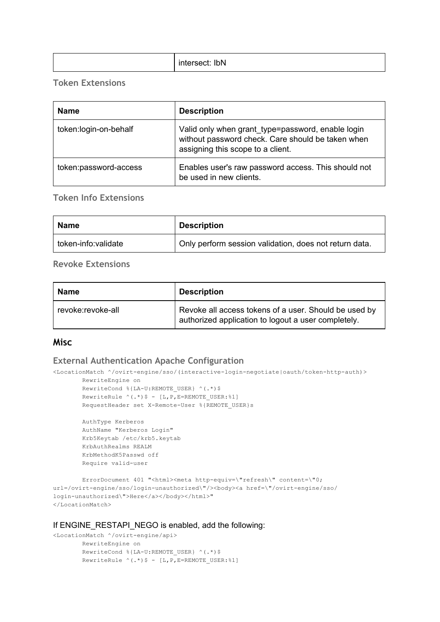| IbN<br>intersect:<br>155 J<br>7. L |
|------------------------------------|
|------------------------------------|

#### **Token Extensions**

| <b>Name</b>           | <b>Description</b>                                                                                                                          |
|-----------------------|---------------------------------------------------------------------------------------------------------------------------------------------|
| token:login-on-behalf | Valid only when grant_type=password, enable login<br>without password check. Care should be taken when<br>assigning this scope to a client. |
| token:password-access | Enables user's raw password access. This should not<br>be used in new clients.                                                              |

## **Token Info Extensions**

| Name                | <b>Description</b>                                     |
|---------------------|--------------------------------------------------------|
| token-info:validate | Only perform session validation, does not return data. |

#### **Revoke Extensions**

| <b>Name</b>       | <b>Description</b>                                                                                           |
|-------------------|--------------------------------------------------------------------------------------------------------------|
| revoke:revoke-all | Revoke all access tokens of a user. Should be used by<br>authorized application to logout a user completely. |

## **Misc**

#### **External Authentication Apache Configuration**

<LocationMatch ^/ovirt-engine/sso/(interactive-login-negotiate|oauth/token-http-auth)>

```
RewriteEngine on
RewriteCond \{LA-U:REMOTEUSER\} ^(.*)$
RewriteRule \wedge(.*)$ - [L,P,E=REMOTE USER:%1]
RequestHeader set X-Remote-User %{REMOTE USER}s
```
AuthType Kerberos AuthName "Kerberos Login" Krb5Keytab /etc/krb5.keytab KrbAuthRealms REALM KrbMethodK5Passwd off Require valid-user

```
ErrorDocument 401 "<html><meta http-equiv=\"refresh\" content=\"0;
url=/ovirt-engine/sso/login-unauthorized\"/><br/>body><a href=\"/ovirt-engine/sso/
login-unauthorized\">Here</a></body></html>"
</LocationMatch>
```
#### If ENGINE\_RESTAPI\_NEGO is enabled, add the following:

```
<LocationMatch ^/ovirt-engine/api>
        RewriteEngine on
        RewriteCond %{LA-U:REMOTE USER} ^(.*)$
        RewriteRule ^(.*) ; - [L, P, E=REMOTE_USER: %1]
```